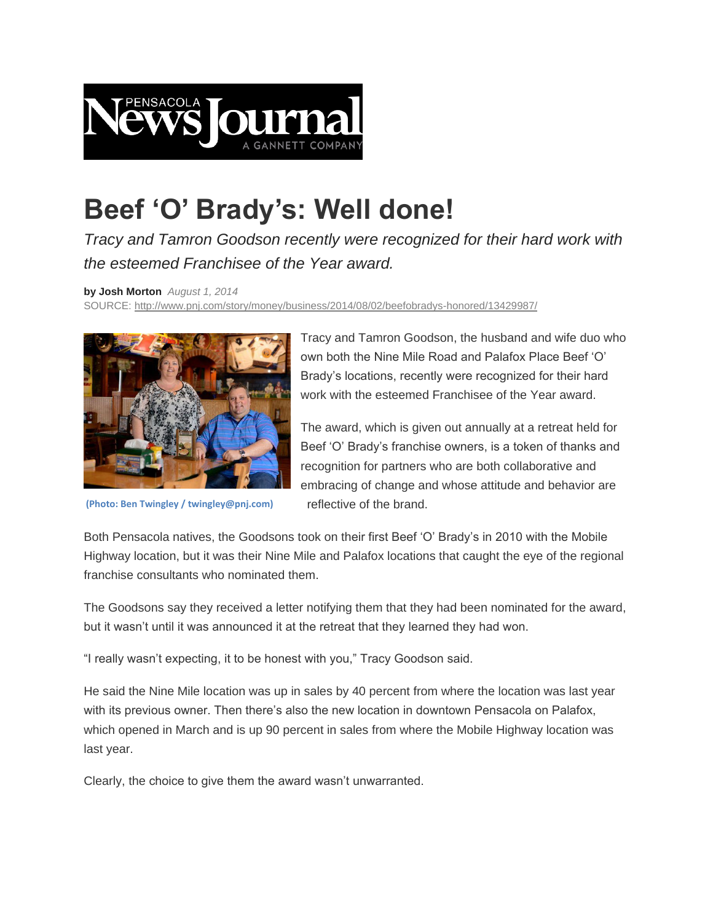

## **Beef 'O' Brady's: Well done!**

*Tracy and Tamron Goodson recently were recognized for their hard work with the esteemed Franchisee of the Year award.*

**by Josh Morton** *August 1, 2014*  SOURCE: <http://www.pnj.com/story/money/business/2014/08/02/beefobradys-honored/13429987/>



**(Photo: Ben Twingley / twingley@pnj.com)**

Tracy and Tamron Goodson, the husband and wife duo who own both the Nine Mile Road and Palafox Place Beef "O" Brady"s locations, recently were recognized for their hard work with the esteemed Franchisee of the Year award.

The award, which is given out annually at a retreat held for Beef 'O' Brady's franchise owners, is a token of thanks and recognition for partners who are both collaborative and embracing of change and whose attitude and behavior are reflective of the brand.

Both Pensacola natives, the Goodsons took on their first Beef "O" Brady"s in 2010 with the Mobile Highway location, but it was their Nine Mile and Palafox locations that caught the eye of the regional franchise consultants who nominated them.

The Goodsons say they received a letter notifying them that they had been nominated for the award, but it wasn"t until it was announced it at the retreat that they learned they had won.

"I really wasn"t expecting, it to be honest with you," Tracy Goodson said.

He said the Nine Mile location was up in sales by 40 percent from where the location was last year with its previous owner. Then there's also the new location in downtown Pensacola on Palafox, which opened in March and is up 90 percent in sales from where the Mobile Highway location was last year.

Clearly, the choice to give them the award wasn"t unwarranted.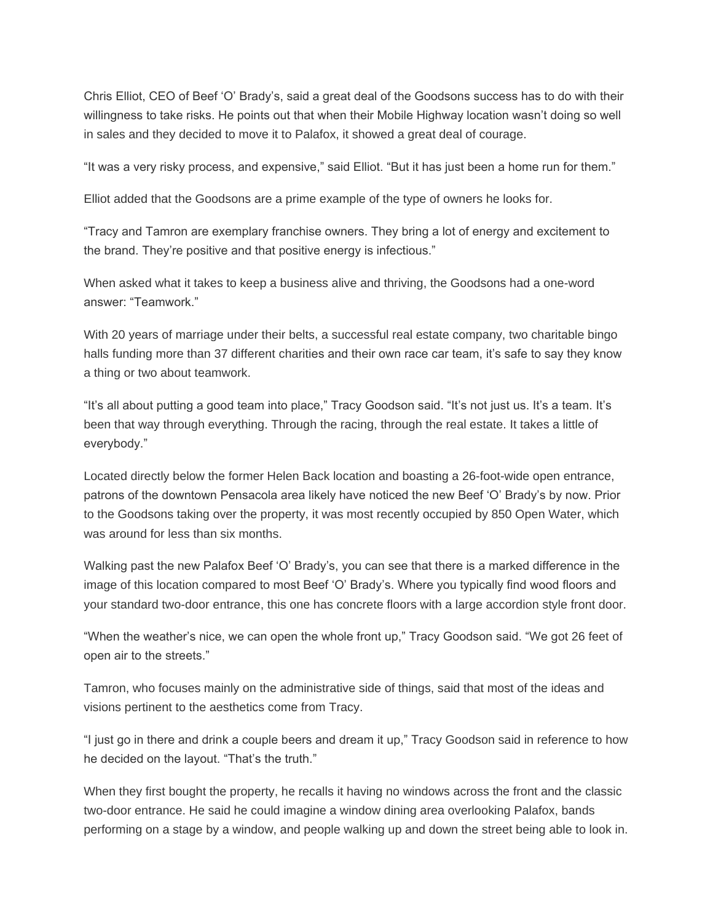Chris Elliot, CEO of Beef "O" Brady"s, said a great deal of the Goodsons success has to do with their willingness to take risks. He points out that when their Mobile Highway location wasn"t doing so well in sales and they decided to move it to Palafox, it showed a great deal of courage.

"It was a very risky process, and expensive," said Elliot. "But it has just been a home run for them."

Elliot added that the Goodsons are a prime example of the type of owners he looks for.

"Tracy and Tamron are exemplary franchise owners. They bring a lot of energy and excitement to the brand. They"re positive and that positive energy is infectious."

When asked what it takes to keep a business alive and thriving, the Goodsons had a one-word answer: "Teamwork."

With 20 years of marriage under their belts, a successful real estate company, two charitable bingo halls funding more than 37 different charities and their own race car team, it's safe to say they know a thing or two about teamwork.

"It"s all about putting a good team into place," Tracy Goodson said. "It"s not just us. It"s a team. It"s been that way through everything. Through the racing, through the real estate. It takes a little of everybody."

Located directly below the former Helen Back location and boasting a 26-foot-wide open entrance, patrons of the downtown Pensacola area likely have noticed the new Beef "O" Brady"s by now. Prior to the Goodsons taking over the property, it was most recently occupied by 850 Open Water, which was around for less than six months.

Walking past the new Palafox Beef "O" Brady"s, you can see that there is a marked difference in the image of this location compared to most Beef "O" Brady"s. Where you typically find wood floors and your standard two-door entrance, this one has concrete floors with a large accordion style front door.

"When the weather"s nice, we can open the whole front up," Tracy Goodson said. "We got 26 feet of open air to the streets."

Tamron, who focuses mainly on the administrative side of things, said that most of the ideas and visions pertinent to the aesthetics come from Tracy.

"I just go in there and drink a couple beers and dream it up," Tracy Goodson said in reference to how he decided on the layout. "That's the truth."

When they first bought the property, he recalls it having no windows across the front and the classic two-door entrance. He said he could imagine a window dining area overlooking Palafox, bands performing on a stage by a window, and people walking up and down the street being able to look in.